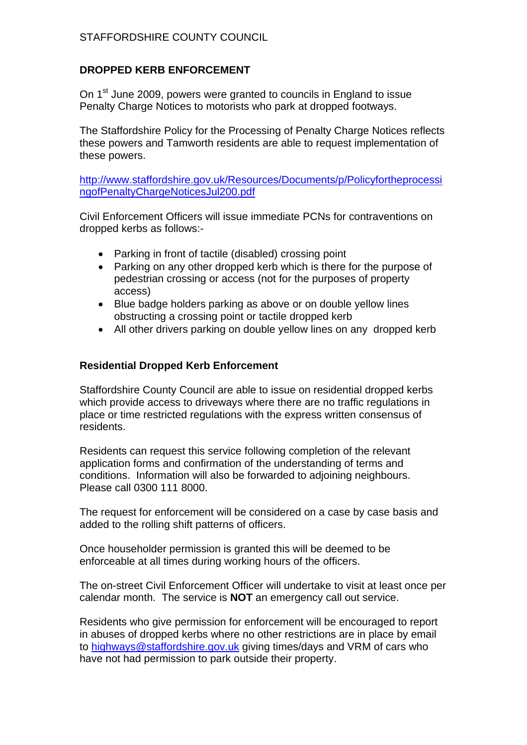# STAFFORDSHIRE COUNTY COUNCIL

### **DROPPED KERB ENFORCEMENT**

On 1<sup>st</sup> June 2009, powers were granted to councils in England to issue Penalty Charge Notices to motorists who park at dropped footways.

The Staffordshire Policy for the Processing of Penalty Charge Notices reflects these powers and Tamworth residents are able to request implementation of these powers.

http://www.staffordshire.gov.uk/Resources/Documents/p/Policyfortheprocessi ngofPenaltyChargeNoticesJul200.pdf

Civil Enforcement Officers will issue immediate PCNs for contraventions on dropped kerbs as follows:-

- Parking in front of tactile (disabled) crossing point
- Parking on any other dropped kerb which is there for the purpose of pedestrian crossing or access (not for the purposes of property access)
- Blue badge holders parking as above or on double yellow lines obstructing a crossing point or tactile dropped kerb
- All other drivers parking on double yellow lines on any dropped kerb

#### **Residential Dropped Kerb Enforcement**

Staffordshire County Council are able to issue on residential dropped kerbs which provide access to driveways where there are no traffic regulations in place or time restricted regulations with the express written consensus of residents.

Residents can request this service following completion of the relevant application forms and confirmation of the understanding of terms and conditions. Information will also be forwarded to adjoining neighbours. Please call 0300 111 8000.

The request for enforcement will be considered on a case by case basis and added to the rolling shift patterns of officers.

Once householder permission is granted this will be deemed to be enforceable at all times during working hours of the officers.

The on-street Civil Enforcement Officer will undertake to visit at least once per calendar month. The service is **NOT** an emergency call out service.

Residents who give permission for enforcement will be encouraged to report in abuses of dropped kerbs where no other restrictions are in place by email to highways@staffordshire.gov.uk giving times/days and VRM of cars who have not had permission to park outside their property.